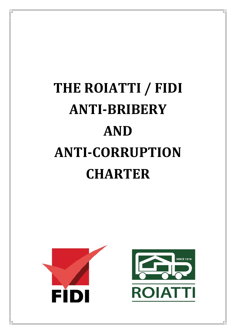# **THE ROIATTI / FIDI ANTI-BRIBERY AND ANTI-CORRUPTION CHARTER**

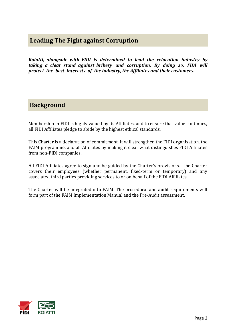## **Leading The Fight against Corruption**

*Roiatti, alongside with FIDI is determined to lead the relocation industry by taking a clear stand against bribery and corruption. By doing so, FIDI will protect the best interests of the industry, the Affiliates and their customers.* 

### **Background**

Membership in FIDI is highly valued by its Affiliates, and to ensure that value continues, all FIDI Affiliates pledge to abide by the highest ethical standards.

This Charter is a declaration of commitment. It will strengthen the FIDI organisation, the FAIM programme, and all Affiliates by making it clear what distinguishes FIDI Affiliates from non-FIDI companies.

All FIDI Affiliates agree to sign and be guided by the Charter's provisions. The Charter covers their employees (whether permanent, fixed-term or temporary) and any associated third parties providing services to or on behalf of the FIDI Affiliates.

The Charter will be integrated into FAIM. The procedural and audit requirements will form part of the FAIM Implementation Manual and the Pre-Audit assessment.

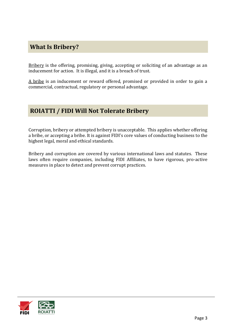# **What Is Bribery?**

Bribery is the offering, promising, giving, accepting or soliciting of an advantage as an inducement for action. It is illegal, and it is a breach of trust.

A bribe is an inducement or reward offered, promised or provided in order to gain a commercial, contractual, regulatory or personal advantage.

## **ROIATTI / FIDI Will Not Tolerate Bribery**

Corruption, bribery or attempted bribery is unacceptable. This applies whether offering a bribe, or accepting a bribe. It is against FIDI's core values of conducting business to the highest legal, moral and ethical standards.

Bribery and corruption are covered by various international laws and statutes. These laws often require companies, including FIDI Affiliates, to have rigorous, pro-active measures in place to detect and prevent corrupt practices.

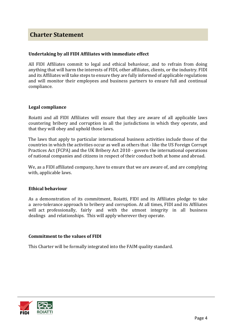## **Charter Statement**

#### **Undertaking by all FIDI Affiliates with immediate effect**

All FIDI Affiliates commit to legal and ethical behaviour, and to refrain from doing anything that will harm the interests of FIDI, other affiliates, clients, or the industry. FIDI and its Affiliates will take steps to ensure they are fully informed of applicable regulations and will monitor their employees and business partners to ensure full and continual compliance.

#### **Legal compliance**

Roiatti and all FIDI Affiliates will ensure that they are aware of all applicable laws countering bribery and corruption in all the jurisdictions in which they operate, and that they will obey and uphold those laws.

The laws that apply to particular international business activities include those of the countries in which the activities occur as well as others that - like the US Foreign Corrupt Practices Act (FCPA) and the UK Bribery Act 2010 - govern the international operations of national companies and citizens in respect of their conduct both at home and abroad.

We, as a FIDI affiliated company, have to ensure that we are aware of, and are complying with, applicable laws.

#### **Ethical behaviour**

As a demonstration of its commitment, Roiatti, FIDI and its Affiliates pledge to take a zero-tolerance approach to bribery and corruption. At all times, FIDI and its Affiliates will act professionally, fairly and with the utmost integrity in all business dealings and relationships. This will apply wherever they operate.

#### **Commitment to the values of FIDI**

This Charter will be formally integrated into the FAIM quality standard.